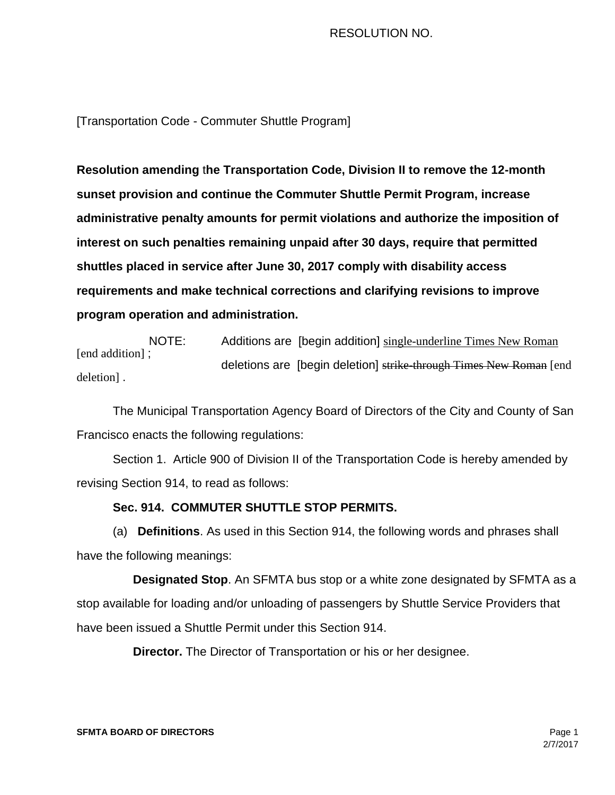# RESOLUTION NO.

[Transportation Code - Commuter Shuttle Program]

**Resolution amending** t**he Transportation Code, Division II to remove the 12-month sunset provision and continue the Commuter Shuttle Permit Program, increase administrative penalty amounts for permit violations and authorize the imposition of interest on such penalties remaining unpaid after 30 days, require that permitted shuttles placed in service after June 30, 2017 comply with disability access requirements and make technical corrections and clarifying revisions to improve program operation and administration.**

NOTE: Additions are [begin addition] single-underline Times New Roman [end addition]; deletions are [begin deletion] strike through Times New Roman [end deletion] .

The Municipal Transportation Agency Board of Directors of the City and County of San Francisco enacts the following regulations:

Section 1. Article 900 of Division II of the Transportation Code is hereby amended by revising Section 914, to read as follows:

# **Sec. 914. COMMUTER SHUTTLE STOP PERMITS.**

(a) **Definitions**. As used in this Section 914, the following words and phrases shall have the following meanings:

 **Designated Stop**. An SFMTA bus stop or a white zone designated by SFMTA as a stop available for loading and/or unloading of passengers by Shuttle Service Providers that have been issued a Shuttle Permit under this Section 914.

**Director.** The Director of Transportation or his or her designee.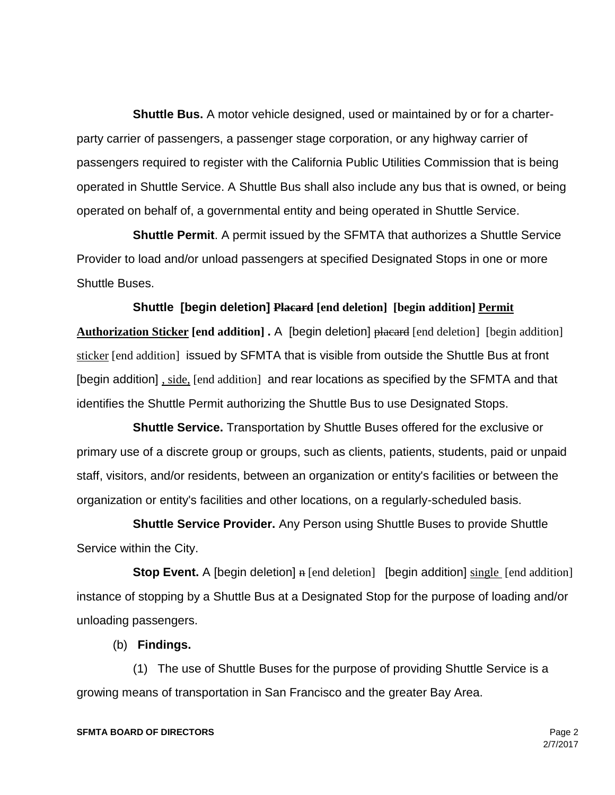**Shuttle Bus.** A motor vehicle designed, used or maintained by or for a charterparty carrier of passengers, a passenger stage corporation, or any highway carrier of passengers required to register with the California Public Utilities Commission that is being operated in Shuttle Service. A Shuttle Bus shall also include any bus that is owned, or being operated on behalf of, a governmental entity and being operated in Shuttle Service.

 **Shuttle Permit**. A permit issued by the SFMTA that authorizes a Shuttle Service Provider to load and/or unload passengers at specified Designated Stops in one or more Shuttle Buses.

 **Shuttle [begin deletion] Placard [end deletion] [begin addition] Permit Authorization Sticker [end addition] .** A [begin deletion] placard [end deletion] [begin addition] sticker [end addition] issued by SFMTA that is visible from outside the Shuttle Bus at front [begin addition], side, [end addition] and rear locations as specified by the SFMTA and that identifies the Shuttle Permit authorizing the Shuttle Bus to use Designated Stops.

 **Shuttle Service.** Transportation by Shuttle Buses offered for the exclusive or primary use of a discrete group or groups, such as clients, patients, students, paid or unpaid staff, visitors, and/or residents, between an organization or entity's facilities or between the organization or entity's facilities and other locations, on a regularly-scheduled basis.

 **Shuttle Service Provider.** Any Person using Shuttle Buses to provide Shuttle Service within the City.

**Stop Event.** A [begin deletion] **n** [end deletion] [begin addition] single [end addition] instance of stopping by a Shuttle Bus at a Designated Stop for the purpose of loading and/or unloading passengers.

(b) **Findings.**

 (1) The use of Shuttle Buses for the purpose of providing Shuttle Service is a growing means of transportation in San Francisco and the greater Bay Area.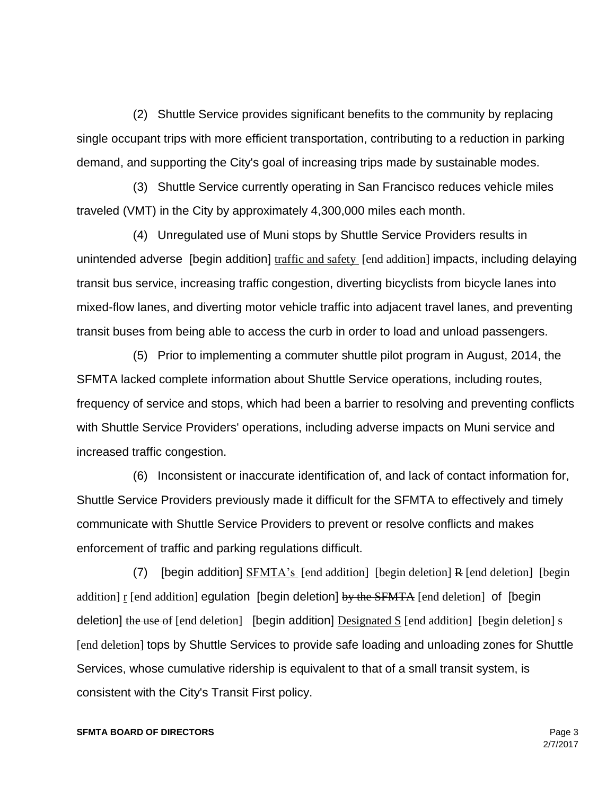(2) Shuttle Service provides significant benefits to the community by replacing single occupant trips with more efficient transportation, contributing to a reduction in parking demand, and supporting the City's goal of increasing trips made by sustainable modes.

 (3) Shuttle Service currently operating in San Francisco reduces vehicle miles traveled (VMT) in the City by approximately 4,300,000 miles each month.

 (4) Unregulated use of Muni stops by Shuttle Service Providers results in unintended adverse [begin addition] traffic and safety [end addition] impacts, including delaying transit bus service, increasing traffic congestion, diverting bicyclists from bicycle lanes into mixed-flow lanes, and diverting motor vehicle traffic into adjacent travel lanes, and preventing transit buses from being able to access the curb in order to load and unload passengers.

 (5) Prior to implementing a commuter shuttle pilot program in August, 2014, the SFMTA lacked complete information about Shuttle Service operations, including routes, frequency of service and stops, which had been a barrier to resolving and preventing conflicts with Shuttle Service Providers' operations, including adverse impacts on Muni service and increased traffic congestion.

 (6) Inconsistent or inaccurate identification of, and lack of contact information for, Shuttle Service Providers previously made it difficult for the SFMTA to effectively and timely communicate with Shuttle Service Providers to prevent or resolve conflicts and makes enforcement of traffic and parking regulations difficult.

(7) [begin addition]  $SFMTA's$  [end addition] [begin deletion] R [end deletion] [begin addition]  $r$  [end addition] egulation [begin deletion] by the SFMTA [end deletion] of [begin deletion] the use of [end deletion] [begin addition]  $Designed S$  [end addition] [begin deletion] s [end deletion] tops by Shuttle Services to provide safe loading and unloading zones for Shuttle Services, whose cumulative ridership is equivalent to that of a small transit system, is consistent with the City's Transit First policy.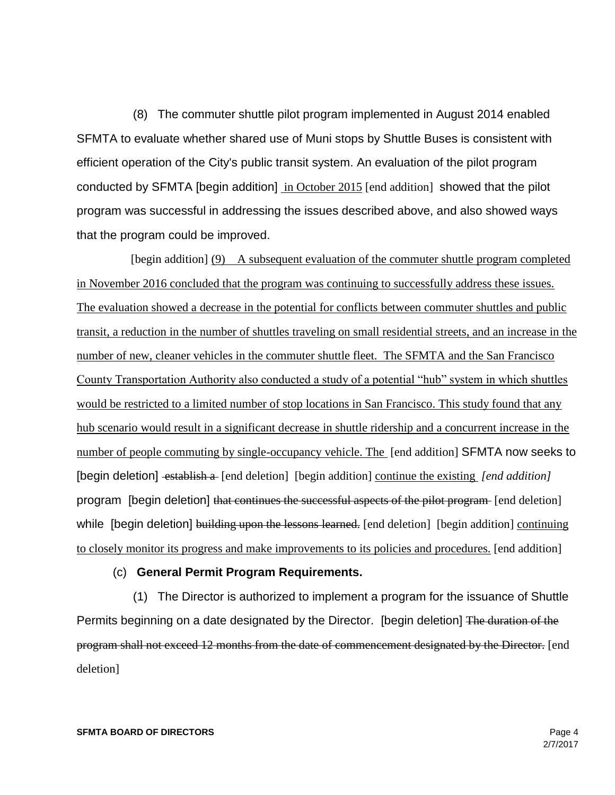(8) The commuter shuttle pilot program implemented in August 2014 enabled SFMTA to evaluate whether shared use of Muni stops by Shuttle Buses is consistent with efficient operation of the City's public transit system. An evaluation of the pilot program conducted by SFMTA [begin addition] in October 2015 [end addition] showed that the pilot program was successful in addressing the issues described above, and also showed ways that the program could be improved.

 [begin addition] (9) A subsequent evaluation of the commuter shuttle program completed in November 2016 concluded that the program was continuing to successfully address these issues. The evaluation showed a decrease in the potential for conflicts between commuter shuttles and public transit, a reduction in the number of shuttles traveling on small residential streets, and an increase in the number of new, cleaner vehicles in the commuter shuttle fleet. The SFMTA and the San Francisco County Transportation Authority also conducted a study of a potential "hub" system in which shuttles would be restricted to a limited number of stop locations in San Francisco. This study found that any hub scenario would result in a significant decrease in shuttle ridership and a concurrent increase in the number of people commuting by single-occupancy vehicle. The [end addition] SFMTA now seeks to [begin deletion] establish a [end deletion] [begin addition] continue the existing *[end addition]*  program [begin deletion] that continues the successful aspects of the pilot program [end deletion] while [begin deletion] building upon the lessons learned. [end deletion] [begin addition] continuing to closely monitor its progress and make improvements to its policies and procedures. [end addition]

# (c) **General Permit Program Requirements.**

 (1) The Director is authorized to implement a program for the issuance of Shuttle Permits beginning on a date designated by the Director. [begin deletion] The duration of the program shall not exceed 12 months from the date of commencement designated by the Director. [end deletion]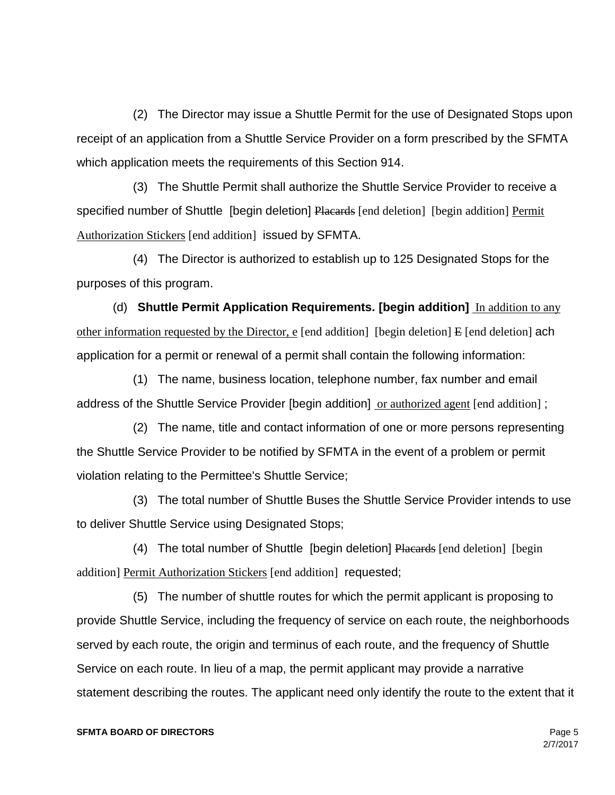(2) The Director may issue a Shuttle Permit for the use of Designated Stops upon receipt of an application from a Shuttle Service Provider on a form prescribed by the SFMTA which application meets the requirements of this Section 914.

 (3) The Shuttle Permit shall authorize the Shuttle Service Provider to receive a specified number of Shuttle [begin deletion] Placards [end deletion] [begin addition] Permit Authorization Stickers [end addition] issued by SFMTA.

 (4) The Director is authorized to establish up to 125 Designated Stops for the purposes of this program.

(d) **Shuttle Permit Application Requirements. [begin addition]** In addition to any other information requested by the Director, e [end addition] [begin deletion]  $E$  [end deletion] ach application for a permit or renewal of a permit shall contain the following information:

 (1) The name, business location, telephone number, fax number and email address of the Shuttle Service Provider [begin addition] or authorized agent [end addition] ;

 (2) The name, title and contact information of one or more persons representing the Shuttle Service Provider to be notified by SFMTA in the event of a problem or permit violation relating to the Permittee's Shuttle Service;

 (3) The total number of Shuttle Buses the Shuttle Service Provider intends to use to deliver Shuttle Service using Designated Stops;

(4) The total number of Shuttle [begin deletion] Placards [end deletion] [begin addition] Permit Authorization Stickers [end addition] requested;

 (5) The number of shuttle routes for which the permit applicant is proposing to provide Shuttle Service, including the frequency of service on each route, the neighborhoods served by each route, the origin and terminus of each route, and the frequency of Shuttle Service on each route. In lieu of a map, the permit applicant may provide a narrative statement describing the routes. The applicant need only identify the route to the extent that it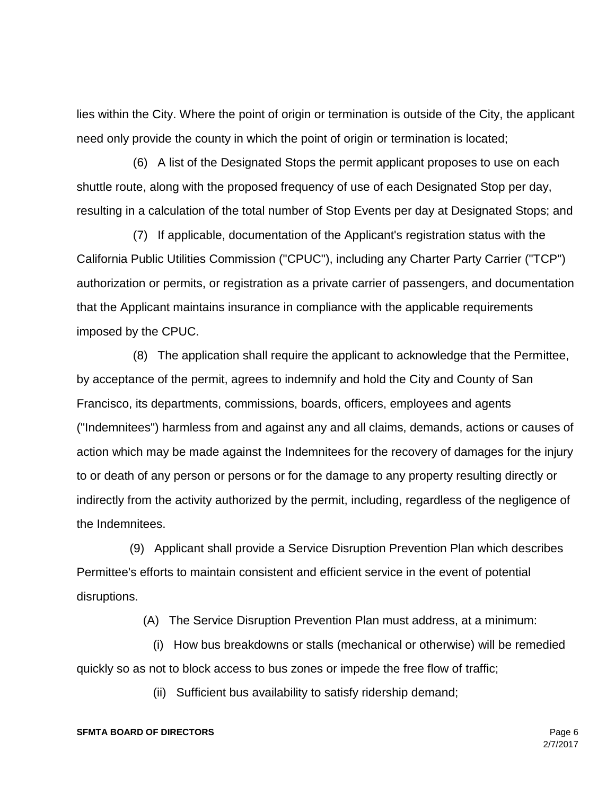lies within the City. Where the point of origin or termination is outside of the City, the applicant need only provide the county in which the point of origin or termination is located;

 (6) A list of the Designated Stops the permit applicant proposes to use on each shuttle route, along with the proposed frequency of use of each Designated Stop per day, resulting in a calculation of the total number of Stop Events per day at Designated Stops; and

 (7) If applicable, documentation of the Applicant's registration status with the California Public Utilities Commission ("CPUC"), including any Charter Party Carrier ("TCP") authorization or permits, or registration as a private carrier of passengers, and documentation that the Applicant maintains insurance in compliance with the applicable requirements imposed by the CPUC.

 (8) The application shall require the applicant to acknowledge that the Permittee, by acceptance of the permit, agrees to indemnify and hold the City and County of San Francisco, its departments, commissions, boards, officers, employees and agents ("Indemnitees") harmless from and against any and all claims, demands, actions or causes of action which may be made against the Indemnitees for the recovery of damages for the injury to or death of any person or persons or for the damage to any property resulting directly or indirectly from the activity authorized by the permit, including, regardless of the negligence of the Indemnitees.

 (9) Applicant shall provide a Service Disruption Prevention Plan which describes Permittee's efforts to maintain consistent and efficient service in the event of potential disruptions.

(A) The Service Disruption Prevention Plan must address, at a minimum:

 (i) How bus breakdowns or stalls (mechanical or otherwise) will be remedied quickly so as not to block access to bus zones or impede the free flow of traffic;

(ii) Sufficient bus availability to satisfy ridership demand;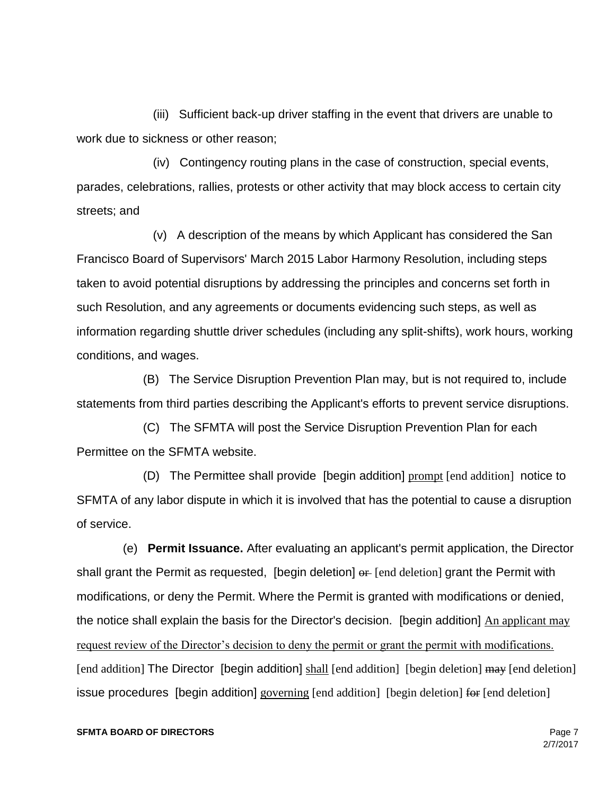(iii) Sufficient back-up driver staffing in the event that drivers are unable to work due to sickness or other reason;

 (iv) Contingency routing plans in the case of construction, special events, parades, celebrations, rallies, protests or other activity that may block access to certain city streets; and

 (v) A description of the means by which Applicant has considered the San Francisco Board of Supervisors' March 2015 Labor Harmony Resolution, including steps taken to avoid potential disruptions by addressing the principles and concerns set forth in such Resolution, and any agreements or documents evidencing such steps, as well as information regarding shuttle driver schedules (including any split-shifts), work hours, working conditions, and wages.

 (B) The Service Disruption Prevention Plan may, but is not required to, include statements from third parties describing the Applicant's efforts to prevent service disruptions.

 (C) The SFMTA will post the Service Disruption Prevention Plan for each Permittee on the SFMTA website.

 (D) The Permittee shall provide [begin addition] prompt [end addition] notice to SFMTA of any labor dispute in which it is involved that has the potential to cause a disruption of service.

 (e) **Permit Issuance.** After evaluating an applicant's permit application, the Director shall grant the Permit as requested, [begin deletion]  $\theta$  [end deletion] grant the Permit with modifications, or deny the Permit. Where the Permit is granted with modifications or denied, the notice shall explain the basis for the Director's decision. [begin addition] An applicant may request review of the Director's decision to deny the permit or grant the permit with modifications. [end addition] The Director [begin addition] shall [end addition] [begin deletion] may [end deletion] issue procedures [begin addition] governing [end addition] [begin deletion] for [end deletion]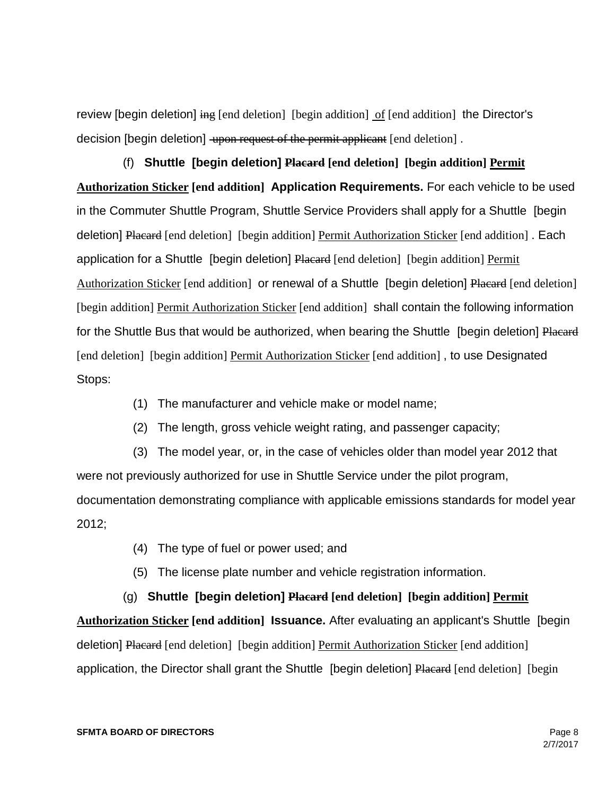review [begin deletion]  $\frac{1}{2}$  [end deletion] [begin addition] of [end addition] the Director's decision [begin deletion] upon request of the permit applicant [end deletion].

 (f) **Shuttle [begin deletion] Placard [end deletion] [begin addition] Permit Authorization Sticker [end addition] Application Requirements.** For each vehicle to be used in the Commuter Shuttle Program, Shuttle Service Providers shall apply for a Shuttle [begin deletion] Placard [end deletion] [begin addition] Permit Authorization Sticker [end addition] . Each application for a Shuttle [begin deletion] Placard [end deletion] [begin addition] Permit Authorization Sticker [end addition] or renewal of a Shuttle [begin deletion] Placard [end deletion] [begin addition] Permit Authorization Sticker [end addition] shall contain the following information for the Shuttle Bus that would be authorized, when bearing the Shuttle [begin deletion] Placard [end deletion] [begin addition] Permit Authorization Sticker [end addition], to use Designated Stops:

- (1) The manufacturer and vehicle make or model name;
- (2) The length, gross vehicle weight rating, and passenger capacity;

 (3) The model year, or, in the case of vehicles older than model year 2012 that were not previously authorized for use in Shuttle Service under the pilot program, documentation demonstrating compliance with applicable emissions standards for model year 2012;

- (4) The type of fuel or power used; and
- (5) The license plate number and vehicle registration information.

 (g) **Shuttle [begin deletion] Placard [end deletion] [begin addition] Permit Authorization Sticker [end addition] Issuance.** After evaluating an applicant's Shuttle [begin deletion] Placard [end deletion] [begin addition] Permit Authorization Sticker [end addition] application, the Director shall grant the Shuttle [begin deletion] Placard [end deletion] [begin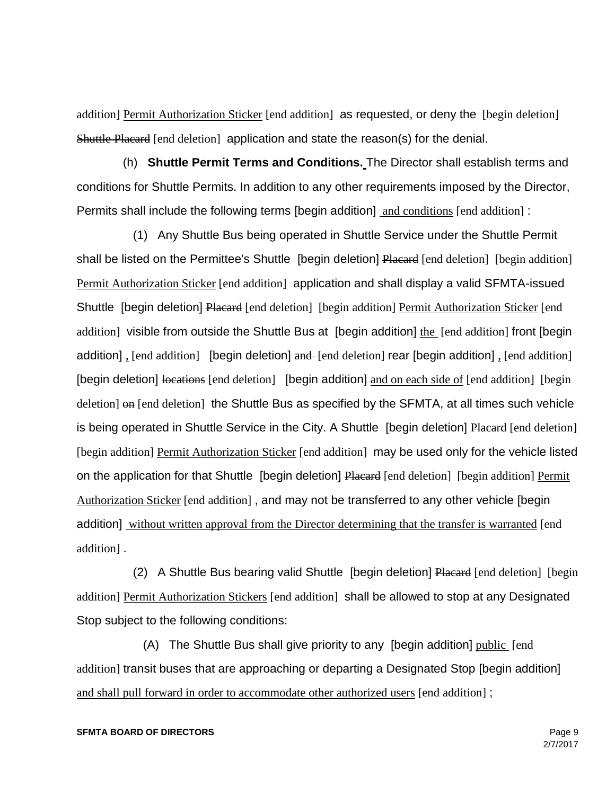addition] Permit Authorization Sticker [end addition] as requested, or deny the [begin deletion] Shuttle Placard [end deletion] application and state the reason(s) for the denial.

 (h) **Shuttle Permit Terms and Conditions.** The Director shall establish terms and conditions for Shuttle Permits. In addition to any other requirements imposed by the Director, Permits shall include the following terms [begin addition] and conditions [end addition] :

 (1) Any Shuttle Bus being operated in Shuttle Service under the Shuttle Permit shall be listed on the Permittee's Shuttle [begin deletion] Placard [end deletion] [begin addition] Permit Authorization Sticker [end addition] application and shall display a valid SFMTA-issued Shuttle [begin deletion] Placard [end deletion] [begin addition] Permit Authorization Sticker [end addition] visible from outside the Shuttle Bus at [begin addition] the [end addition] front [begin addition], [end addition] [begin deletion] and [end deletion] rear [begin addition], [end addition] [begin deletion] locations [end deletion] [begin addition] and on each side of [end addition] [begin deletion] on [end deletion] the Shuttle Bus as specified by the SFMTA, at all times such vehicle is being operated in Shuttle Service in the City. A Shuttle [begin deletion] Placard [end deletion] [begin addition] Permit Authorization Sticker [end addition] may be used only for the vehicle listed on the application for that Shuttle [begin deletion] Placard [end deletion] [begin addition] Permit Authorization Sticker [end addition] , and may not be transferred to any other vehicle [begin addition] without written approval from the Director determining that the transfer is warranted [end addition] .

(2) A Shuttle Bus bearing valid Shuttle [begin deletion] Placard [end deletion] [begin addition] Permit Authorization Stickers [end addition] shall be allowed to stop at any Designated Stop subject to the following conditions:

(A) The Shuttle Bus shall give priority to any [begin addition] public [end] addition] transit buses that are approaching or departing a Designated Stop [begin addition] and shall pull forward in order to accommodate other authorized users [end addition] ;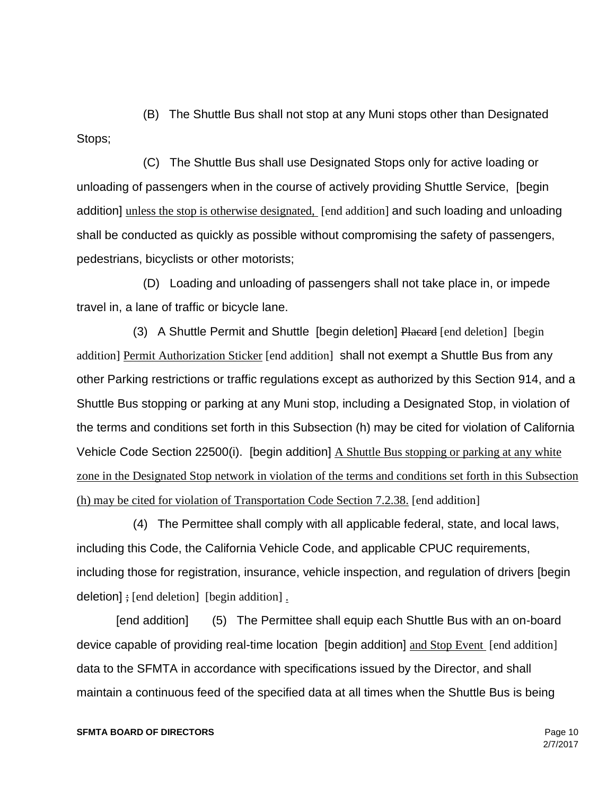(B) The Shuttle Bus shall not stop at any Muni stops other than Designated Stops;

 (C) The Shuttle Bus shall use Designated Stops only for active loading or unloading of passengers when in the course of actively providing Shuttle Service, [begin addition] unless the stop is otherwise designated, [end addition] and such loading and unloading shall be conducted as quickly as possible without compromising the safety of passengers, pedestrians, bicyclists or other motorists;

 (D) Loading and unloading of passengers shall not take place in, or impede travel in, a lane of traffic or bicycle lane.

(3) A Shuttle Permit and Shuttle [begin deletion] Placard [end deletion] [begin addition] Permit Authorization Sticker [end addition] shall not exempt a Shuttle Bus from any other Parking restrictions or traffic regulations except as authorized by this Section 914, and a Shuttle Bus stopping or parking at any Muni stop, including a Designated Stop, in violation of the terms and conditions set forth in this Subsection (h) may be cited for violation of California Vehicle Code Section 22500(i). [begin addition] A Shuttle Bus stopping or parking at any white zone in the Designated Stop network in violation of the terms and conditions set forth in this Subsection (h) may be cited for violation of Transportation Code Section 7.2.38. [end addition]

 (4) The Permittee shall comply with all applicable federal, state, and local laws, including this Code, the California Vehicle Code, and applicable CPUC requirements, including those for registration, insurance, vehicle inspection, and regulation of drivers [begin deletion] ; [end deletion] [begin addition] .

[end addition] (5) The Permittee shall equip each Shuttle Bus with an on-board device capable of providing real-time location [begin addition] and Stop Event [end addition] data to the SFMTA in accordance with specifications issued by the Director, and shall maintain a continuous feed of the specified data at all times when the Shuttle Bus is being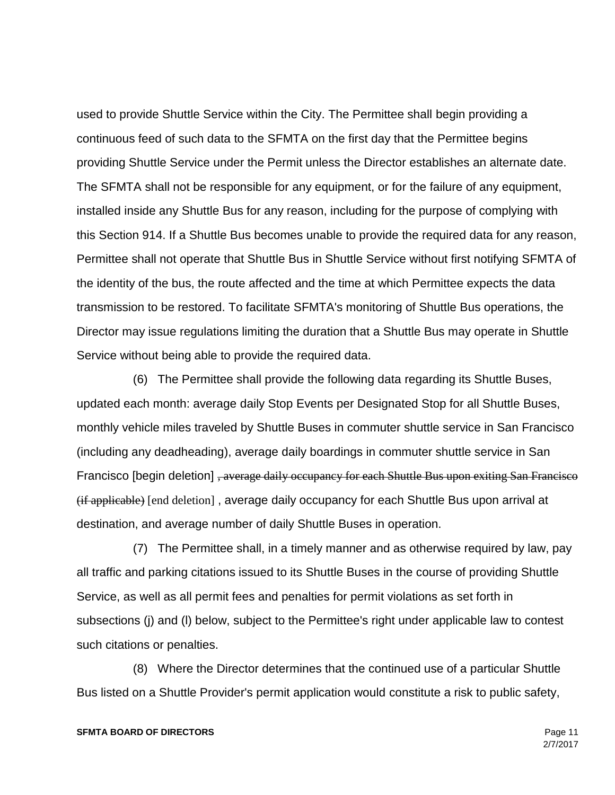used to provide Shuttle Service within the City. The Permittee shall begin providing a continuous feed of such data to the SFMTA on the first day that the Permittee begins providing Shuttle Service under the Permit unless the Director establishes an alternate date. The SFMTA shall not be responsible for any equipment, or for the failure of any equipment, installed inside any Shuttle Bus for any reason, including for the purpose of complying with this Section 914. If a Shuttle Bus becomes unable to provide the required data for any reason, Permittee shall not operate that Shuttle Bus in Shuttle Service without first notifying SFMTA of the identity of the bus, the route affected and the time at which Permittee expects the data transmission to be restored. To facilitate SFMTA's monitoring of Shuttle Bus operations, the Director may issue regulations limiting the duration that a Shuttle Bus may operate in Shuttle Service without being able to provide the required data.

 (6) The Permittee shall provide the following data regarding its Shuttle Buses, updated each month: average daily Stop Events per Designated Stop for all Shuttle Buses, monthly vehicle miles traveled by Shuttle Buses in commuter shuttle service in San Francisco (including any deadheading), average daily boardings in commuter shuttle service in San Francisco [begin deletion] , average daily occupancy for each Shuttle Bus upon exiting San Francisco (if applicable) [end deletion] , average daily occupancy for each Shuttle Bus upon arrival at destination, and average number of daily Shuttle Buses in operation.

 (7) The Permittee shall, in a timely manner and as otherwise required by law, pay all traffic and parking citations issued to its Shuttle Buses in the course of providing Shuttle Service, as well as all permit fees and penalties for permit violations as set forth in subsections (j) and (l) below, subject to the Permittee's right under applicable law to contest such citations or penalties.

 (8) Where the Director determines that the continued use of a particular Shuttle Bus listed on a Shuttle Provider's permit application would constitute a risk to public safety,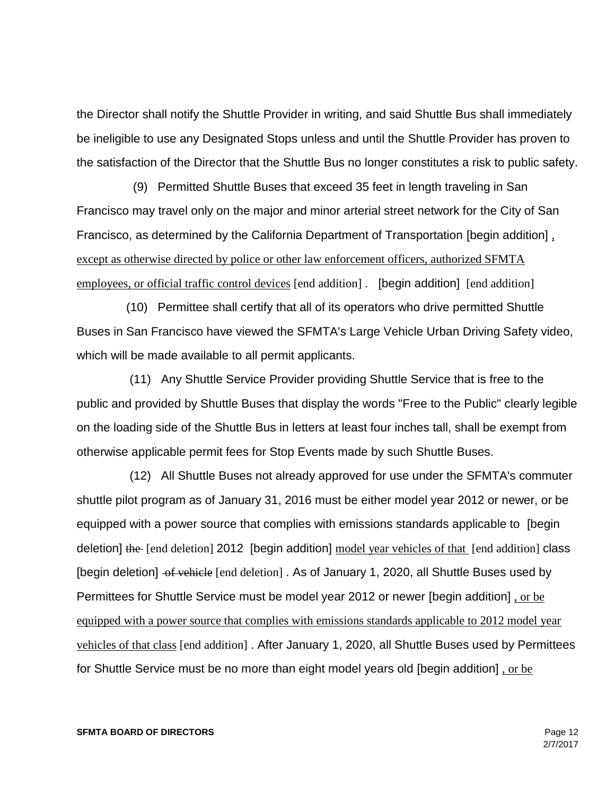the Director shall notify the Shuttle Provider in writing, and said Shuttle Bus shall immediately be ineligible to use any Designated Stops unless and until the Shuttle Provider has proven to the satisfaction of the Director that the Shuttle Bus no longer constitutes a risk to public safety.

 (9) Permitted Shuttle Buses that exceed 35 feet in length traveling in San Francisco may travel only on the major and minor arterial street network for the City of San Francisco, as determined by the California Department of Transportation [begin addition] , except as otherwise directed by police or other law enforcement officers, authorized SFMTA employees, or official traffic control devices [end addition] . [begin addition] [end addition]

 (10) Permittee shall certify that all of its operators who drive permitted Shuttle Buses in San Francisco have viewed the SFMTA's Large Vehicle Urban Driving Safety video, which will be made available to all permit applicants.

 (11) Any Shuttle Service Provider providing Shuttle Service that is free to the public and provided by Shuttle Buses that display the words "Free to the Public" clearly legible on the loading side of the Shuttle Bus in letters at least four inches tall, shall be exempt from otherwise applicable permit fees for Stop Events made by such Shuttle Buses.

 (12) All Shuttle Buses not already approved for use under the SFMTA's commuter shuttle pilot program as of January 31, 2016 must be either model year 2012 or newer, or be equipped with a power source that complies with emissions standards applicable to [begin deletion] the [end deletion] 2012 [begin addition] model year vehicles of that [end addition] class [begin deletion] of vehicle [end deletion]. As of January 1, 2020, all Shuttle Buses used by Permittees for Shuttle Service must be model year 2012 or newer [begin addition], or be equipped with a power source that complies with emissions standards applicable to 2012 model year vehicles of that class [end addition] . After January 1, 2020, all Shuttle Buses used by Permittees for Shuttle Service must be no more than eight model years old [begin addition] , or be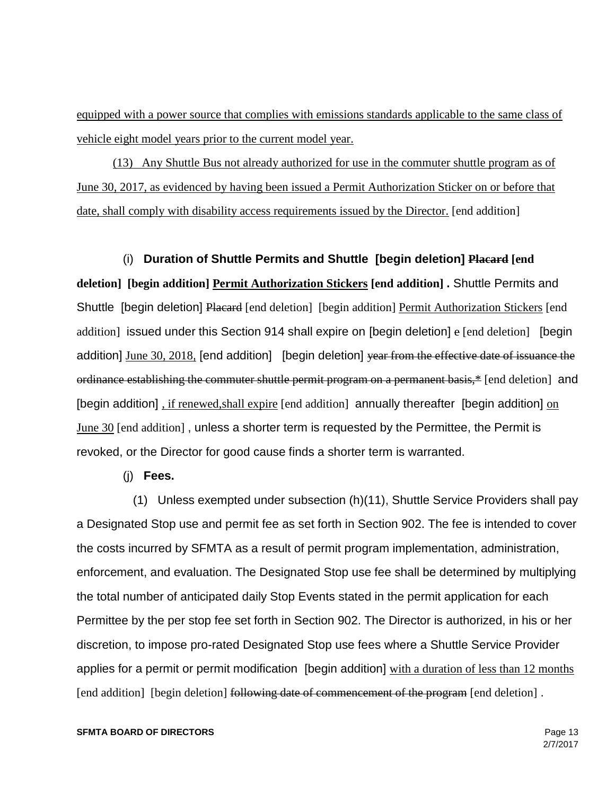equipped with a power source that complies with emissions standards applicable to the same class of vehicle eight model years prior to the current model year.

(13) Any Shuttle Bus not already authorized for use in the commuter shuttle program as of June 30, 2017, as evidenced by having been issued a Permit Authorization Sticker on or before that date, shall comply with disability access requirements issued by the Director. [end addition]

 (i) **Duration of Shuttle Permits and Shuttle [begin deletion] Placard [end deletion] [begin addition] Permit Authorization Stickers [end addition] .** Shuttle Permits and Shuttle [begin deletion] Placard [end deletion] [begin addition] Permit Authorization Stickers [end addition] issued under this Section 914 shall expire on [begin deletion] e [end deletion] [begin addition] June 30, 2018, [end addition] [begin deletion] year from the effective date of issuance the ordinance establishing the commuter shuttle permit program on a permanent basis,\* [end deletion] and [begin addition] , if renewed,shall expire [end addition] annually thereafter [begin addition] on June 30 [end addition], unless a shorter term is requested by the Permittee, the Permit is revoked, or the Director for good cause finds a shorter term is warranted.

(j) **Fees.**

 (1) Unless exempted under subsection (h)(11), Shuttle Service Providers shall pay a Designated Stop use and permit fee as set forth in Section 902. The fee is intended to cover the costs incurred by SFMTA as a result of permit program implementation, administration, enforcement, and evaluation. The Designated Stop use fee shall be determined by multiplying the total number of anticipated daily Stop Events stated in the permit application for each Permittee by the per stop fee set forth in Section 902. The Director is authorized, in his or her discretion, to impose pro-rated Designated Stop use fees where a Shuttle Service Provider applies for a permit or permit modification [begin addition] with a duration of less than 12 months [end addition] [begin deletion] following date of commencement of the program [end deletion].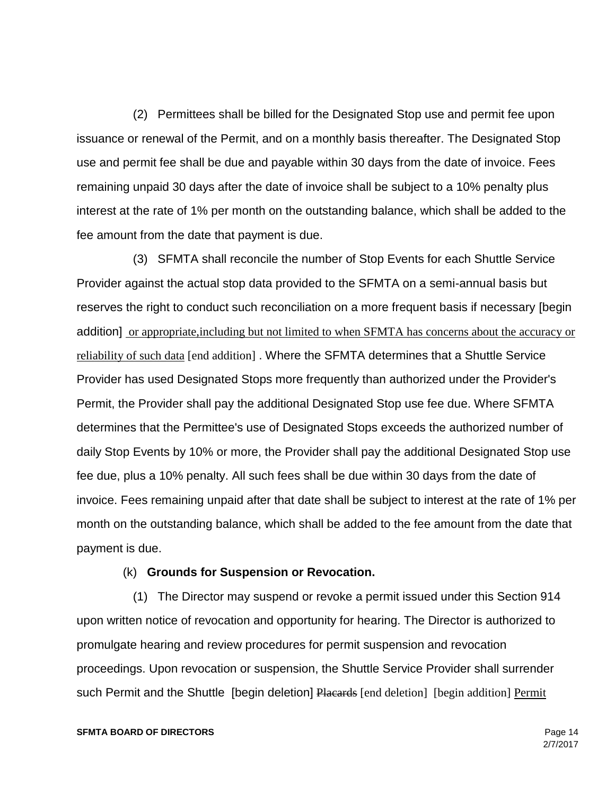(2) Permittees shall be billed for the Designated Stop use and permit fee upon issuance or renewal of the Permit, and on a monthly basis thereafter. The Designated Stop use and permit fee shall be due and payable within 30 days from the date of invoice. Fees remaining unpaid 30 days after the date of invoice shall be subject to a 10% penalty plus interest at the rate of 1% per month on the outstanding balance, which shall be added to the fee amount from the date that payment is due.

 (3) SFMTA shall reconcile the number of Stop Events for each Shuttle Service Provider against the actual stop data provided to the SFMTA on a semi-annual basis but reserves the right to conduct such reconciliation on a more frequent basis if necessary [begin addition] or appropriate,including but not limited to when SFMTA has concerns about the accuracy or reliability of such data [end addition] . Where the SFMTA determines that a Shuttle Service Provider has used Designated Stops more frequently than authorized under the Provider's Permit, the Provider shall pay the additional Designated Stop use fee due. Where SFMTA determines that the Permittee's use of Designated Stops exceeds the authorized number of daily Stop Events by 10% or more, the Provider shall pay the additional Designated Stop use fee due, plus a 10% penalty. All such fees shall be due within 30 days from the date of invoice. Fees remaining unpaid after that date shall be subject to interest at the rate of 1% per month on the outstanding balance, which shall be added to the fee amount from the date that payment is due.

# (k) **Grounds for Suspension or Revocation.**

 (1) The Director may suspend or revoke a permit issued under this Section 914 upon written notice of revocation and opportunity for hearing. The Director is authorized to promulgate hearing and review procedures for permit suspension and revocation proceedings. Upon revocation or suspension, the Shuttle Service Provider shall surrender such Permit and the Shuttle [begin deletion] Placards [end deletion] [begin addition] Permit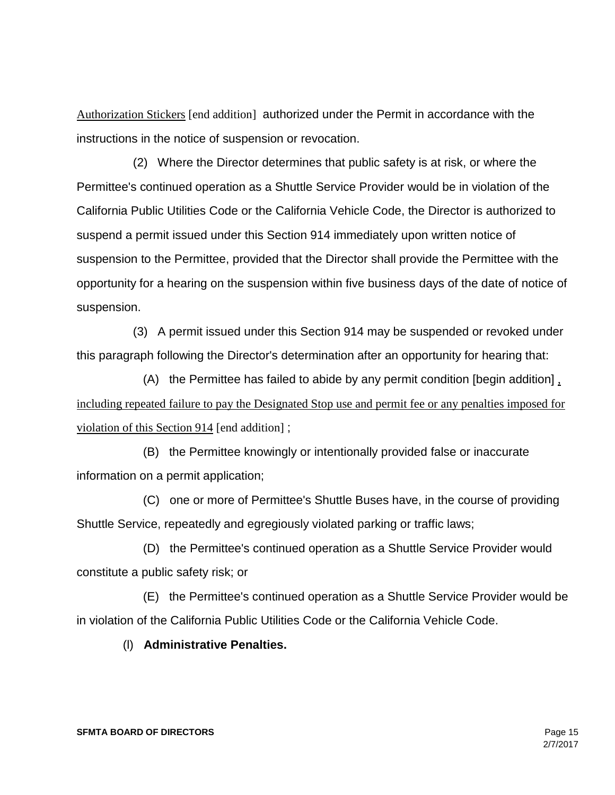Authorization Stickers [end addition] authorized under the Permit in accordance with the instructions in the notice of suspension or revocation.

 (2) Where the Director determines that public safety is at risk, or where the Permittee's continued operation as a Shuttle Service Provider would be in violation of the California Public Utilities Code or the California Vehicle Code, the Director is authorized to suspend a permit issued under this Section 914 immediately upon written notice of suspension to the Permittee, provided that the Director shall provide the Permittee with the opportunity for a hearing on the suspension within five business days of the date of notice of suspension.

 (3) A permit issued under this Section 914 may be suspended or revoked under this paragraph following the Director's determination after an opportunity for hearing that:

 (A) the Permittee has failed to abide by any permit condition [begin addition] , including repeated failure to pay the Designated Stop use and permit fee or any penalties imposed for violation of this Section 914 [end addition] ;

 (B) the Permittee knowingly or intentionally provided false or inaccurate information on a permit application;

 (C) one or more of Permittee's Shuttle Buses have, in the course of providing Shuttle Service, repeatedly and egregiously violated parking or traffic laws;

 (D) the Permittee's continued operation as a Shuttle Service Provider would constitute a public safety risk; or

 (E) the Permittee's continued operation as a Shuttle Service Provider would be in violation of the California Public Utilities Code or the California Vehicle Code.

(l) **Administrative Penalties.**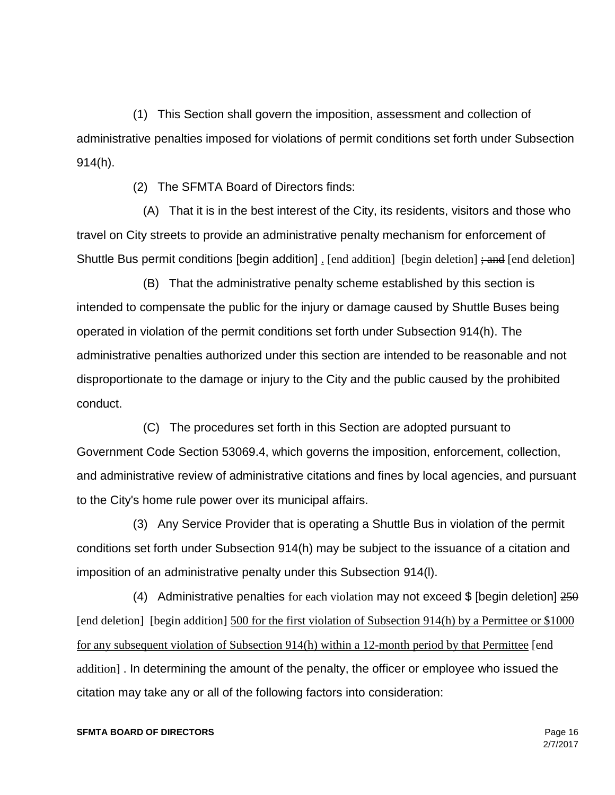(1) This Section shall govern the imposition, assessment and collection of administrative penalties imposed for violations of permit conditions set forth under Subsection 914(h).

(2) The SFMTA Board of Directors finds:

 (A) That it is in the best interest of the City, its residents, visitors and those who travel on City streets to provide an administrative penalty mechanism for enforcement of Shuttle Bus permit conditions [begin addition] [end addition] [begin deletion] ; and [end deletion]

 (B) That the administrative penalty scheme established by this section is intended to compensate the public for the injury or damage caused by Shuttle Buses being operated in violation of the permit conditions set forth under Subsection 914(h). The administrative penalties authorized under this section are intended to be reasonable and not disproportionate to the damage or injury to the City and the public caused by the prohibited conduct.

 (C) The procedures set forth in this Section are adopted pursuant to Government Code Section 53069.4, which governs the imposition, enforcement, collection, and administrative review of administrative citations and fines by local agencies, and pursuant to the City's home rule power over its municipal affairs.

 (3) Any Service Provider that is operating a Shuttle Bus in violation of the permit conditions set forth under Subsection 914(h) may be subject to the issuance of a citation and imposition of an administrative penalty under this Subsection 914(l).

(4) Administrative penalties for each violation may not exceed  $\frac{1}{2}$  [begin deletion]  $\frac{250}{2}$ [end deletion] [begin addition] 500 for the first violation of Subsection 914(h) by a Permittee or \$1000 for any subsequent violation of Subsection 914(h) within a 12-month period by that Permittee [end addition] . In determining the amount of the penalty, the officer or employee who issued the citation may take any or all of the following factors into consideration: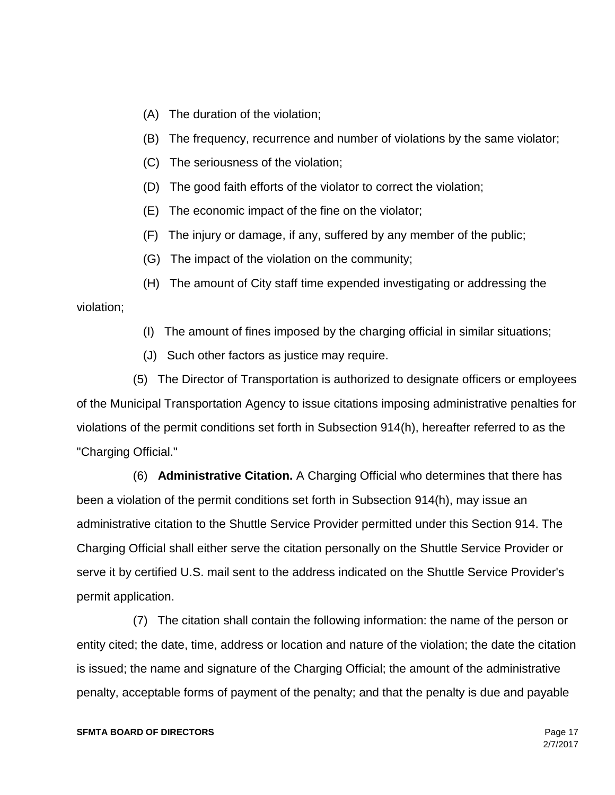- (A) The duration of the violation;
- (B) The frequency, recurrence and number of violations by the same violator;
- (C) The seriousness of the violation;
- (D) The good faith efforts of the violator to correct the violation;
- (E) The economic impact of the fine on the violator;
- (F) The injury or damage, if any, suffered by any member of the public;
- (G) The impact of the violation on the community;

 (H) The amount of City staff time expended investigating or addressing the violation;

- (I) The amount of fines imposed by the charging official in similar situations;
- (J) Such other factors as justice may require.

 (5) The Director of Transportation is authorized to designate officers or employees of the Municipal Transportation Agency to issue citations imposing administrative penalties for violations of the permit conditions set forth in Subsection 914(h), hereafter referred to as the "Charging Official."

 (6) **Administrative Citation.** A Charging Official who determines that there has been a violation of the permit conditions set forth in Subsection 914(h), may issue an administrative citation to the Shuttle Service Provider permitted under this Section 914. The Charging Official shall either serve the citation personally on the Shuttle Service Provider or serve it by certified U.S. mail sent to the address indicated on the Shuttle Service Provider's permit application.

 (7) The citation shall contain the following information: the name of the person or entity cited; the date, time, address or location and nature of the violation; the date the citation is issued; the name and signature of the Charging Official; the amount of the administrative penalty, acceptable forms of payment of the penalty; and that the penalty is due and payable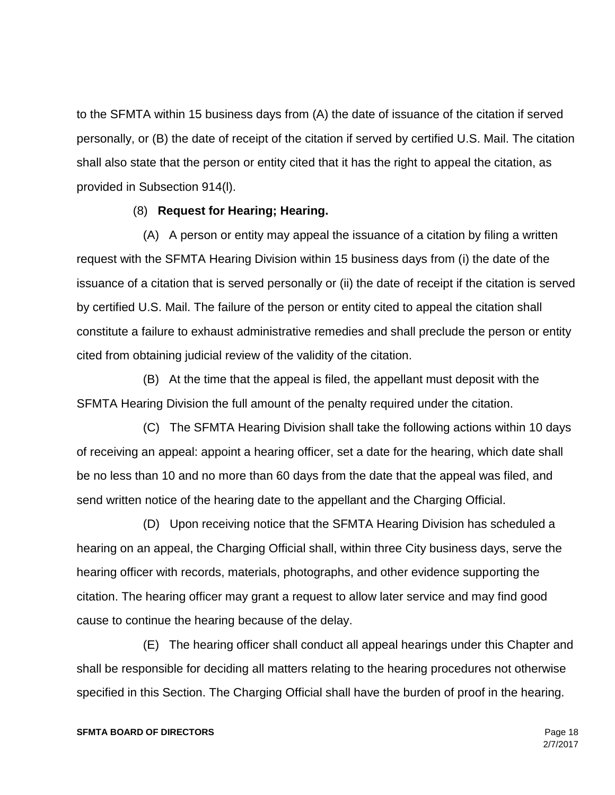to the SFMTA within 15 business days from (A) the date of issuance of the citation if served personally, or (B) the date of receipt of the citation if served by certified U.S. Mail. The citation shall also state that the person or entity cited that it has the right to appeal the citation, as provided in Subsection 914(l).

# (8) **Request for Hearing; Hearing.**

 (A) A person or entity may appeal the issuance of a citation by filing a written request with the SFMTA Hearing Division within 15 business days from (i) the date of the issuance of a citation that is served personally or (ii) the date of receipt if the citation is served by certified U.S. Mail. The failure of the person or entity cited to appeal the citation shall constitute a failure to exhaust administrative remedies and shall preclude the person or entity cited from obtaining judicial review of the validity of the citation.

 (B) At the time that the appeal is filed, the appellant must deposit with the SFMTA Hearing Division the full amount of the penalty required under the citation.

 (C) The SFMTA Hearing Division shall take the following actions within 10 days of receiving an appeal: appoint a hearing officer, set a date for the hearing, which date shall be no less than 10 and no more than 60 days from the date that the appeal was filed, and send written notice of the hearing date to the appellant and the Charging Official.

 (D) Upon receiving notice that the SFMTA Hearing Division has scheduled a hearing on an appeal, the Charging Official shall, within three City business days, serve the hearing officer with records, materials, photographs, and other evidence supporting the citation. The hearing officer may grant a request to allow later service and may find good cause to continue the hearing because of the delay.

 (E) The hearing officer shall conduct all appeal hearings under this Chapter and shall be responsible for deciding all matters relating to the hearing procedures not otherwise specified in this Section. The Charging Official shall have the burden of proof in the hearing.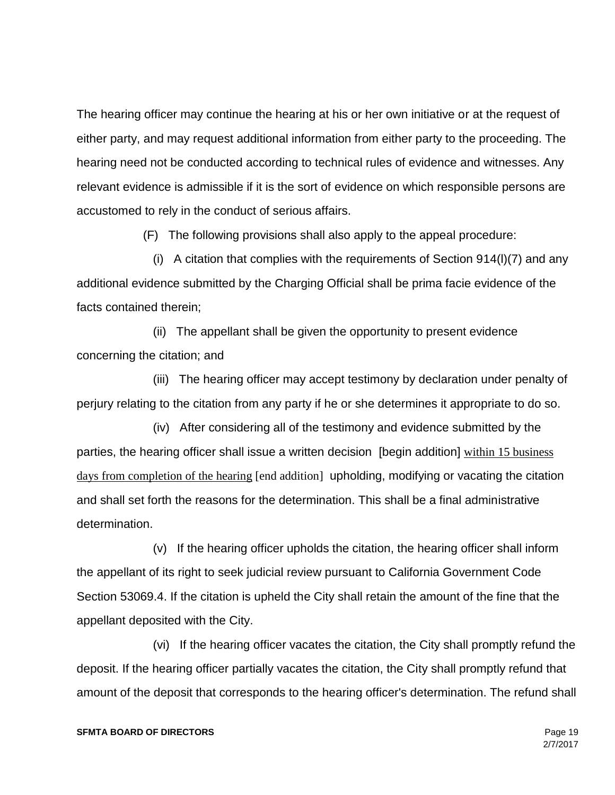The hearing officer may continue the hearing at his or her own initiative or at the request of either party, and may request additional information from either party to the proceeding. The hearing need not be conducted according to technical rules of evidence and witnesses. Any relevant evidence is admissible if it is the sort of evidence on which responsible persons are accustomed to rely in the conduct of serious affairs.

(F) The following provisions shall also apply to the appeal procedure:

 (i) A citation that complies with the requirements of Section 914(l)(7) and any additional evidence submitted by the Charging Official shall be prima facie evidence of the facts contained therein;

 (ii) The appellant shall be given the opportunity to present evidence concerning the citation; and

 (iii) The hearing officer may accept testimony by declaration under penalty of perjury relating to the citation from any party if he or she determines it appropriate to do so.

 (iv) After considering all of the testimony and evidence submitted by the parties, the hearing officer shall issue a written decision [begin addition] within 15 business days from completion of the hearing [end addition] upholding, modifying or vacating the citation and shall set forth the reasons for the determination. This shall be a final administrative determination.

 (v) If the hearing officer upholds the citation, the hearing officer shall inform the appellant of its right to seek judicial review pursuant to California Government Code Section 53069.4. If the citation is upheld the City shall retain the amount of the fine that the appellant deposited with the City.

 (vi) If the hearing officer vacates the citation, the City shall promptly refund the deposit. If the hearing officer partially vacates the citation, the City shall promptly refund that amount of the deposit that corresponds to the hearing officer's determination. The refund shall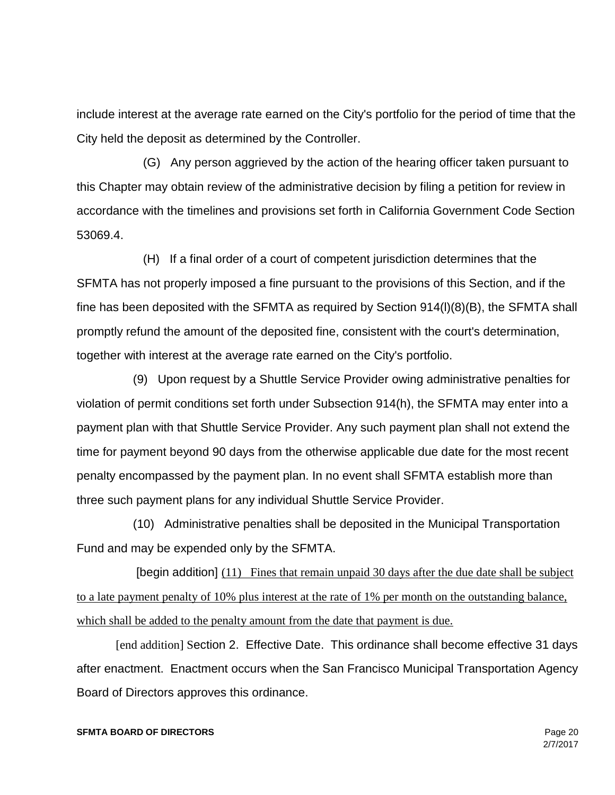include interest at the average rate earned on the City's portfolio for the period of time that the City held the deposit as determined by the Controller.

 (G) Any person aggrieved by the action of the hearing officer taken pursuant to this Chapter may obtain review of the administrative decision by filing a petition for review in accordance with the timelines and provisions set forth in California Government Code Section 53069.4.

 (H) If a final order of a court of competent jurisdiction determines that the SFMTA has not properly imposed a fine pursuant to the provisions of this Section, and if the fine has been deposited with the SFMTA as required by Section 914(l)(8)(B), the SFMTA shall promptly refund the amount of the deposited fine, consistent with the court's determination, together with interest at the average rate earned on the City's portfolio.

 (9) Upon request by a Shuttle Service Provider owing administrative penalties for violation of permit conditions set forth under Subsection 914(h), the SFMTA may enter into a payment plan with that Shuttle Service Provider. Any such payment plan shall not extend the time for payment beyond 90 days from the otherwise applicable due date for the most recent penalty encompassed by the payment plan. In no event shall SFMTA establish more than three such payment plans for any individual Shuttle Service Provider.

 (10) Administrative penalties shall be deposited in the Municipal Transportation Fund and may be expended only by the SFMTA.

 [begin addition] (11) Fines that remain unpaid 30 days after the due date shall be subject to a late payment penalty of 10% plus interest at the rate of 1% per month on the outstanding balance, which shall be added to the penalty amount from the date that payment is due.

[end addition] Section 2. Effective Date. This ordinance shall become effective 31 days after enactment. Enactment occurs when the San Francisco Municipal Transportation Agency Board of Directors approves this ordinance.